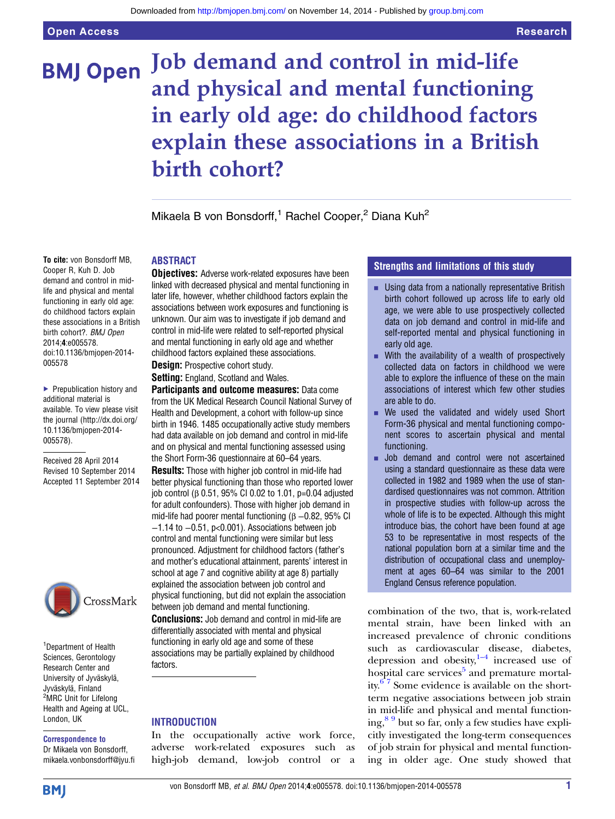# Job demand and control in mid-life **BMJ Open** and physical and mental functioning in early old age: do childhood factors explain these associations in a British birth cohort?

Mikaela B von Bonsdorff,<sup>1</sup> Rachel Cooper,<sup>2</sup> Diana Kuh<sup>2</sup>

# ABSTRACT

**Objectives:** Adverse work-related exposures have been linked with decreased physical and mental functioning in later life, however, whether childhood factors explain the associations between work exposures and functioning is unknown. Our aim was to investigate if job demand and control in mid-life were related to self-reported physical and mental functioning in early old age and whether childhood factors explained these associations.

**Design:** Prospective cohort study.

Setting: England, Scotland and Wales.

Participants and outcome measures: Data come from the UK Medical Research Council National Survey of Health and Development, a cohort with follow-up since birth in 1946. 1485 occupationally active study members had data available on job demand and control in mid-life and on physical and mental functioning assessed using the Short Form-36 questionnaire at 60–64 years.

Results: Those with higher job control in mid-life had better physical functioning than those who reported lower job control (β 0.51, 95% CI 0.02 to 1.01, p=0.04 adjusted for adult confounders). Those with higher job demand in mid-life had poorer mental functioning ( $\beta$  –0.82, 95% CI −1.14 to −0.51, p<0.001). Associations between job control and mental functioning were similar but less pronounced. Adjustment for childhood factors (father's and mother's educational attainment, parents' interest in school at age 7 and cognitive ability at age 8) partially explained the association between job control and physical functioning, but did not explain the association between job demand and mental functioning. **Conclusions:** Job demand and control in mid-life are differentially associated with mental and physical functioning in early old age and some of these associations may be partially explained by childhood factors.

# INTRODUCTION

In the occupationally active work force, adverse work-related exposures such as high-job demand, low-job control or a

# Strengths and limitations of this study

- **E.** Using data from a nationally representative British birth cohort followed up across life to early old age, we were able to use prospectively collected data on job demand and control in mid-life and self-reported mental and physical functioning in early old age.
- $\blacksquare$  With the availability of a wealth of prospectively collected data on factors in childhood we were able to explore the influence of these on the main associations of interest which few other studies are able to do.
- $\blacksquare$  We used the validated and widely used Short Form-36 physical and mental functioning component scores to ascertain physical and mental functioning.
- **■** Job demand and control were not ascertained using a standard questionnaire as these data were collected in 1982 and 1989 when the use of standardised questionnaires was not common. Attrition in prospective studies with follow-up across the whole of life is to be expected. Although this might introduce bias, the cohort have been found at age 53 to be representative in most respects of the national population born at a similar time and the distribution of occupational class and unemployment at ages 60–64 was similar to the 2001 England Census reference population.

combination of the two, that is, work-related mental strain, have been linked with an increased prevalence of chronic conditions such as cardiovascular disease, diabetes, depression and obesity, $1-4$  increased use of hospital care services<sup>[5](#page-6-0)</sup> and premature mortality. $67$  Some evidence is available on the shortterm negative associations between job strain in mid-life and physical and mental function $ing<sup>89</sup>$  but so far, only a few studies have explicitly investigated the long-term consequences of job strain for physical and mental functioning in older age. One study showed that

Cooper R, Kuh D. Job demand and control in midlife and physical and mental functioning in early old age: do childhood factors explain these associations in a British birth cohort?. BMJ Open 2014;4:e005578. doi:10.1136/bmjopen-2014- 005578

To cite: von Bonsdorff MB,

▶ Prepublication history and additional material is available. To view please visit the journal [\(http://dx.doi.org/](http://dx.doi.org/10.1136/bmjopen-2014-005578) [10.1136/bmjopen-2014-](http://dx.doi.org/10.1136/bmjopen-2014-005578) [005578\)](http://dx.doi.org/10.1136/bmjopen-2014-005578).

Received 28 April 2014 Revised 10 September 2014 Accepted 11 September 2014



1 Department of Health Sciences, Gerontology Research Center and University of Jyväskylä, Jyväskylä, Finland <sup>2</sup>MRC Unit for Lifelong Health and Ageing at UCL, London, UK

#### Correspondence to Dr Mikaela von Bonsdorff,

mikaela.vonbonsdorff@jyu.fi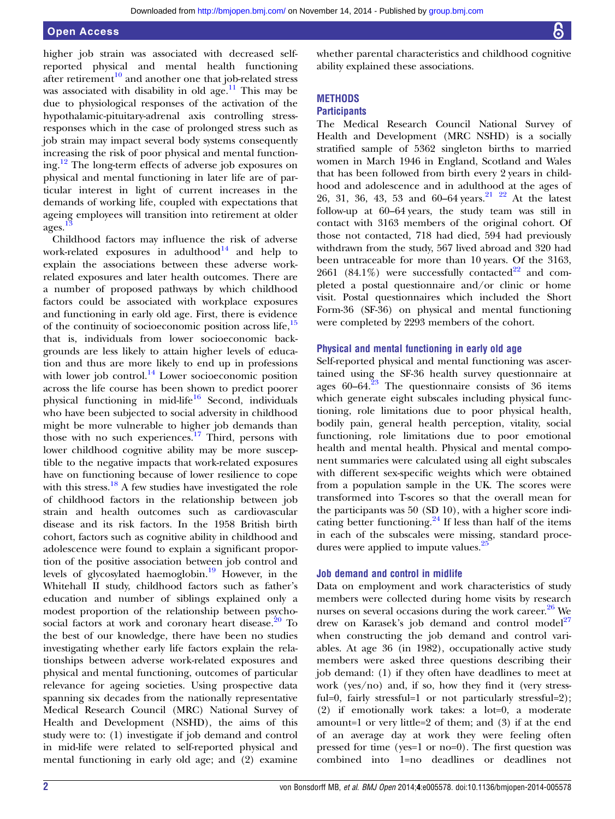higher job strain was associated with decreased selfreported physical and mental health functioning after retirement<sup>[10](#page-6-0)</sup> and another one that job-related stress was associated with disability in old age.<sup>[11](#page-6-0)</sup> This may be due to physiological responses of the activation of the hypothalamic-pituitary-adrenal axis controlling stressresponses which in the case of prolonged stress such as job strain may impact several body systems consequently increasing the risk of poor physical and mental functioning[.12](#page-6-0) The long-term effects of adverse job exposures on physical and mental functioning in later life are of particular interest in light of current increases in the demands of working life, coupled with expectations that ageing employees will transition into retirement at older ages.[13](#page-6-0)

Childhood factors may influence the risk of adverse work-related exposures in adulthood $^{14}$  $^{14}$  $^{14}$  and help to explain the associations between these adverse workrelated exposures and later health outcomes. There are a number of proposed pathways by which childhood factors could be associated with workplace exposures and functioning in early old age. First, there is evidence of the continuity of socioeconomic position across life,<sup>[15](#page-7-0)</sup> that is, individuals from lower socioeconomic backgrounds are less likely to attain higher levels of education and thus are more likely to end up in professions with lower job control.<sup>[14](#page-7-0)</sup> Lower socioeconomic position across the life course has been shown to predict poorer physical functioning in mid-life<sup>[16](#page-7-0)</sup> Second, individuals who have been subjected to social adversity in childhood might be more vulnerable to higher job demands than those with no such experiences. $17$  Third, persons with lower childhood cognitive ability may be more susceptible to the negative impacts that work-related exposures have on functioning because of lower resilience to cope with this stress.<sup>[18](#page-7-0)</sup> A few studies have investigated the role of childhood factors in the relationship between job strain and health outcomes such as cardiovascular disease and its risk factors. In the 1958 British birth cohort, factors such as cognitive ability in childhood and adolescence were found to explain a significant proportion of the positive association between job control and levels of glycosylated haemoglobin.<sup>[19](#page-7-0)</sup> However, in the Whitehall II study, childhood factors such as father's education and number of siblings explained only a modest proportion of the relationship between psycho-social factors at work and coronary heart disease.<sup>[20](#page-7-0)</sup> To the best of our knowledge, there have been no studies investigating whether early life factors explain the relationships between adverse work-related exposures and physical and mental functioning, outcomes of particular relevance for ageing societies. Using prospective data spanning six decades from the nationally representative Medical Research Council (MRC) National Survey of Health and Development (NSHD), the aims of this study were to: (1) investigate if job demand and control in mid-life were related to self-reported physical and mental functioning in early old age; and (2) examine

whether parental characteristics and childhood cognitive ability explained these associations.

# **METHODS**

# **Participants**

The Medical Research Council National Survey of Health and Development (MRC NSHD) is a socially stratified sample of 5362 singleton births to married women in March 1946 in England, Scotland and Wales that has been followed from birth every 2 years in childhood and adolescence and in adulthood at the ages of 26, 31, 36, 43, 53 and 60–64 years.<sup>21</sup> <sup>22</sup> At the latest follow-up at 60–64 years, the study team was still in contact with 3163 members of the original cohort. Of those not contacted, 718 had died, 594 had previously withdrawn from the study, 567 lived abroad and 320 had been untraceable for more than 10 years. Of the 3163, 2661 (84.1%) were successfully contacted<sup>[22](#page-7-0)</sup> and completed a postal questionnaire and/or clinic or home visit. Postal questionnaires which included the Short Form-36 (SF-36) on physical and mental functioning were completed by 2293 members of the cohort.

#### Physical and mental functioning in early old age

Self-reported physical and mental functioning was ascertained using the SF-36 health survey questionnaire at ages 60–64. $^{23}$  The questionnaire consists of 36 items which generate eight subscales including physical functioning, role limitations due to poor physical health, bodily pain, general health perception, vitality, social functioning, role limitations due to poor emotional health and mental health. Physical and mental component summaries were calculated using all eight subscales with different sex-specific weights which were obtained from a population sample in the UK. The scores were transformed into T-scores so that the overall mean for the participants was 50 (SD 10), with a higher score indicating better functioning. $24$  If less than half of the items in each of the subscales were missing, standard proce-dures were applied to impute values.<sup>[25](#page-7-0)</sup>

#### Job demand and control in midlife

Data on employment and work characteristics of study members were collected during home visits by research nurses on several occasions during the work career. $26$  We drew on Karasek's job demand and control model<sup>[27](#page-7-0)</sup> when constructing the job demand and control variables. At age 36 (in 1982), occupationally active study members were asked three questions describing their job demand: (1) if they often have deadlines to meet at work (yes/no) and, if so, how they find it (very stressful=0, fairly stressful=1 or not particularly stressful=2); (2) if emotionally work takes: a lot=0, a moderate amount=1 or very little=2 of them; and (3) if at the end of an average day at work they were feeling often pressed for time (yes=1 or no=0). The first question was combined into 1=no deadlines or deadlines not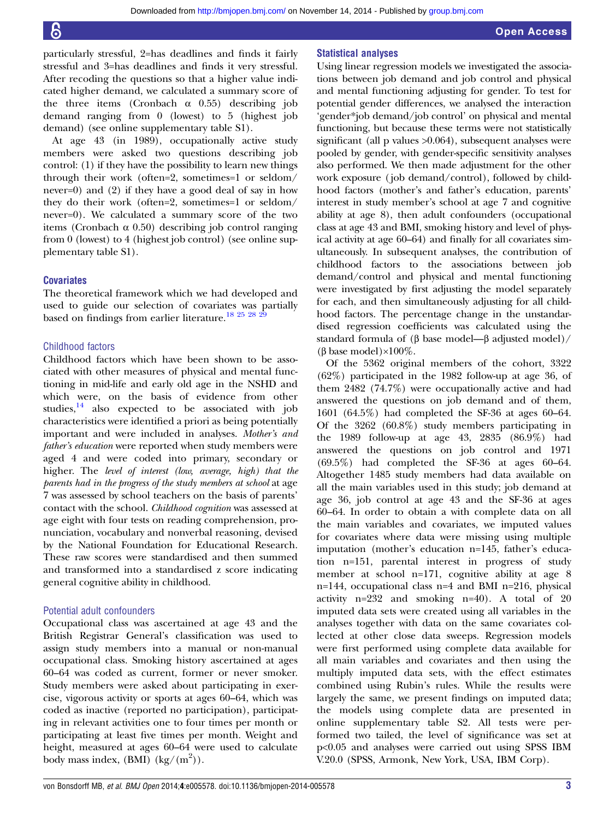particularly stressful, 2=has deadlines and finds it fairly stressful and 3=has deadlines and finds it very stressful. After recoding the questions so that a higher value indicated higher demand, we calculated a summary score of the three items (Cronbach  $\alpha$  0.55) describing job demand ranging from 0 (lowest) to 5 (highest job demand) (see online supplementary table S1).

At age 43 (in 1989), occupationally active study members were asked two questions describing job control: (1) if they have the possibility to learn new things through their work (often=2, sometimes=1 or seldom/ never=0) and (2) if they have a good deal of say in how they do their work (often=2, sometimes=1 or seldom/ never=0). We calculated a summary score of the two items (Cronbach  $\alpha$  0.50) describing job control ranging from 0 (lowest) to 4 (highest job control) (see online supplementary table S1).

#### **Covariates**

The theoretical framework which we had developed and used to guide our selection of covariates was partially based on findings from earlier literature.<sup>18 25</sup> <sup>28</sup>

#### Childhood factors

Childhood factors which have been shown to be associated with other measures of physical and mental functioning in mid-life and early old age in the NSHD and which were, on the basis of evidence from other studies, $14$  also expected to be associated with job characteristics were identified a priori as being potentially important and were included in analyses. Mother's and father's education were reported when study members were aged 4 and were coded into primary, secondary or higher. The level of interest (low, average, high) that the parents had in the progress of the study members at school at age 7 was assessed by school teachers on the basis of parents' contact with the school. Childhood cognition was assessed at age eight with four tests on reading comprehension, pronunciation, vocabulary and nonverbal reasoning, devised by the National Foundation for Educational Research. These raw scores were standardised and then summed and transformed into a standardised z score indicating general cognitive ability in childhood.

#### Potential adult confounders

Occupational class was ascertained at age 43 and the British Registrar General's classification was used to assign study members into a manual or non-manual occupational class. Smoking history ascertained at ages 60–64 was coded as current, former or never smoker. Study members were asked about participating in exercise, vigorous activity or sports at ages 60–64, which was coded as inactive (reported no participation), participating in relevant activities one to four times per month or participating at least five times per month. Weight and height, measured at ages 60–64 were used to calculate body mass index,  $(BMI)$   $(kg/(m^2))$ .

#### Statistical analyses

Using linear regression models we investigated the associations between job demand and job control and physical and mental functioning adjusting for gender. To test for potential gender differences, we analysed the interaction 'gender\*job demand/job control' on physical and mental functioning, but because these terms were not statistically significant (all p values  $>0.064$ ), subsequent analyses were pooled by gender, with gender-specific sensitivity analyses also performed. We then made adjustment for the other work exposure ( job demand/control), followed by childhood factors (mother's and father's education, parents' interest in study member's school at age 7 and cognitive ability at age 8), then adult confounders (occupational class at age 43 and BMI, smoking history and level of physical activity at age 60–64) and finally for all covariates simultaneously. In subsequent analyses, the contribution of childhood factors to the associations between job demand/control and physical and mental functioning were investigated by first adjusting the model separately for each, and then simultaneously adjusting for all childhood factors. The percentage change in the unstandardised regression coefficients was calculated using the standard formula of (β base model—β adjusted model)/ (β base model)×100%.

Of the 5362 original members of the cohort, 3322 (62%) participated in the 1982 follow-up at age 36, of them 2482 (74.7%) were occupationally active and had answered the questions on job demand and of them, 1601 (64.5%) had completed the SF-36 at ages 60–64. Of the 3262 (60.8%) study members participating in the 1989 follow-up at age 43, 2835 (86.9%) had answered the questions on job control and 1971 (69.5%) had completed the SF-36 at ages 60–64. Altogether 1485 study members had data available on all the main variables used in this study; job demand at age 36, job control at age 43 and the SF-36 at ages 60–64. In order to obtain a with complete data on all the main variables and covariates, we imputed values for covariates where data were missing using multiple imputation (mother's education n=145, father's education n=151, parental interest in progress of study member at school n=171, cognitive ability at age 8 n=144, occupational class n=4 and BMI n=216, physical activity n=232 and smoking n=40). A total of 20 imputed data sets were created using all variables in the analyses together with data on the same covariates collected at other close data sweeps. Regression models were first performed using complete data available for all main variables and covariates and then using the multiply imputed data sets, with the effect estimates combined using Rubin's rules. While the results were largely the same, we present findings on imputed data; the models using complete data are presented in online supplementary table S2. All tests were performed two tailed, the level of significance was set at p<0.05 and analyses were carried out using SPSS IBM V.20.0 (SPSS, Armonk, New York, USA, IBM Corp).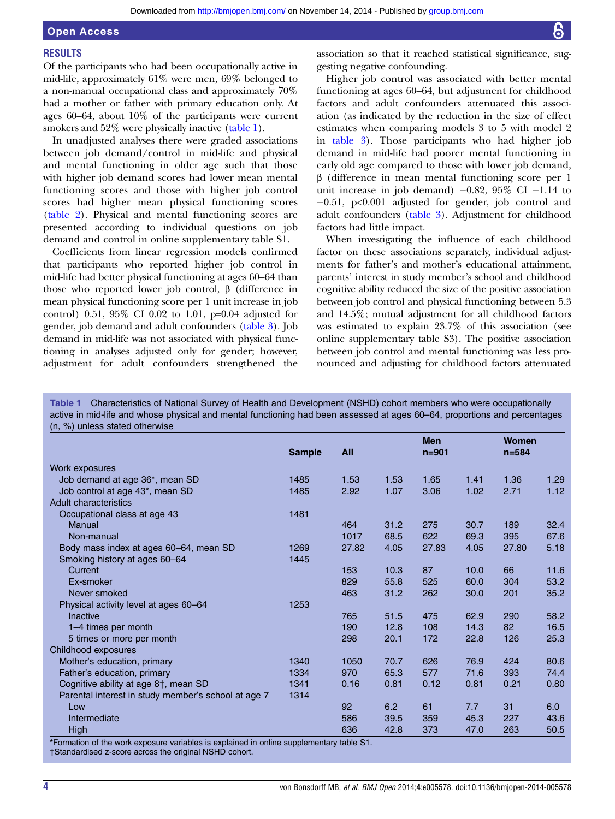# Open Access

# **RESULTS**

Of the participants who had been occupationally active in mid-life, approximately 61% were men, 69% belonged to a non-manual occupational class and approximately 70% had a mother or father with primary education only. At ages 60–64, about 10% of the participants were current smokers and 52% were physically inactive (table 1).

In unadjusted analyses there were graded associations between job demand/control in mid-life and physical and mental functioning in older age such that those with higher job demand scores had lower mean mental functioning scores and those with higher job control scores had higher mean physical functioning scores [\(table 2\)](#page-4-0). Physical and mental functioning scores are presented according to individual questions on job demand and control in online supplementary table S1.

Coefficients from linear regression models confirmed that participants who reported higher job control in mid-life had better physical functioning at ages 60–64 than those who reported lower job control, β (difference in mean physical functioning score per 1 unit increase in job control) 0.51, 95% CI 0.02 to 1.01, p=0.04 adjusted for gender, job demand and adult confounders ([table 3\)](#page-5-0). Job demand in mid-life was not associated with physical functioning in analyses adjusted only for gender; however, adjustment for adult confounders strengthened the

association so that it reached statistical significance, suggesting negative confounding.

Higher job control was associated with better mental functioning at ages 60–64, but adjustment for childhood factors and adult confounders attenuated this association (as indicated by the reduction in the size of effect estimates when comparing models 3 to 5 with model 2 in [table 3\)](#page-5-0). Those participants who had higher job demand in mid-life had poorer mental functioning in early old age compared to those with lower job demand, β (difference in mean mental functioning score per 1 unit increase in job demand)  $-0.82$ , 95% CI  $-1.14$  to −0.51, p<0.001 adjusted for gender, job control and adult confounders ([table 3](#page-5-0)). Adjustment for childhood factors had little impact.

When investigating the influence of each childhood factor on these associations separately, individual adjustments for father's and mother's educational attainment, parents' interest in study member's school and childhood cognitive ability reduced the size of the positive association between job control and physical functioning between 5.3 and 14.5%; mutual adjustment for all childhood factors was estimated to explain 23.7% of this association (see online supplementary table S3). The positive association between job control and mental functioning was less pronounced and adjusting for childhood factors attenuated

Table 1 Characteristics of National Survey of Health and Development (NSHD) cohort members who were occupationally active in mid-life and whose physical and mental functioning had been assessed at ages 60–64, proportions and percentages (n, %) unless stated otherwise

|                                                     |               |            |      | <b>Men</b> |      | <b>Women</b> |      |
|-----------------------------------------------------|---------------|------------|------|------------|------|--------------|------|
|                                                     | <b>Sample</b> | <b>All</b> |      | $n = 901$  |      | $n = 584$    |      |
| Work exposures                                      |               |            |      |            |      |              |      |
| Job demand at age 36*, mean SD                      | 1485          | 1.53       | 1.53 | 1.65       | 1.41 | 1.36         | 1.29 |
| Job control at age 43*, mean SD                     | 1485          | 2.92       | 1.07 | 3.06       | 1.02 | 2.71         | 1.12 |
| Adult characteristics                               |               |            |      |            |      |              |      |
| Occupational class at age 43                        | 1481          |            |      |            |      |              |      |
| Manual                                              |               | 464        | 31.2 | 275        | 30.7 | 189          | 32.4 |
| Non-manual                                          |               | 1017       | 68.5 | 622        | 69.3 | 395          | 67.6 |
| Body mass index at ages 60–64, mean SD              | 1269          | 27.82      | 4.05 | 27.83      | 4.05 | 27.80        | 5.18 |
| Smoking history at ages 60-64                       | 1445          |            |      |            |      |              |      |
| Current                                             |               | 153        | 10.3 | 87         | 10.0 | 66           | 11.6 |
| Ex-smoker                                           |               | 829        | 55.8 | 525        | 60.0 | 304          | 53.2 |
| Never smoked                                        |               | 463        | 31.2 | 262        | 30.0 | 201          | 35.2 |
| Physical activity level at ages 60–64               | 1253          |            |      |            |      |              |      |
| Inactive                                            |               | 765        | 51.5 | 475        | 62.9 | 290          | 58.2 |
| 1–4 times per month                                 |               | 190        | 12.8 | 108        | 14.3 | 82           | 16.5 |
| 5 times or more per month                           |               | 298        | 20.1 | 172        | 22.8 | 126          | 25.3 |
| Childhood exposures                                 |               |            |      |            |      |              |      |
| Mother's education, primary                         | 1340          | 1050       | 70.7 | 626        | 76.9 | 424          | 80.6 |
| Father's education, primary                         | 1334          | 970        | 65.3 | 577        | 71.6 | 393          | 74.4 |
| Cognitive ability at age 8†, mean SD                | 1341          | 0.16       | 0.81 | 0.12       | 0.81 | 0.21         | 0.80 |
| Parental interest in study member's school at age 7 | 1314          |            |      |            |      |              |      |
| Low                                                 |               | 92         | 6.2  | 61         | 7.7  | 31           | 6.0  |
| Intermediate                                        |               | 586        | 39.5 | 359        | 45.3 | 227          | 43.6 |
| <b>High</b>                                         |               | 636        | 42.8 | 373        | 47.0 | 263          | 50.5 |

\*Formation of the work exposure variables is explained in online supplementary table S1.

†Standardised z-score across the original NSHD cohort.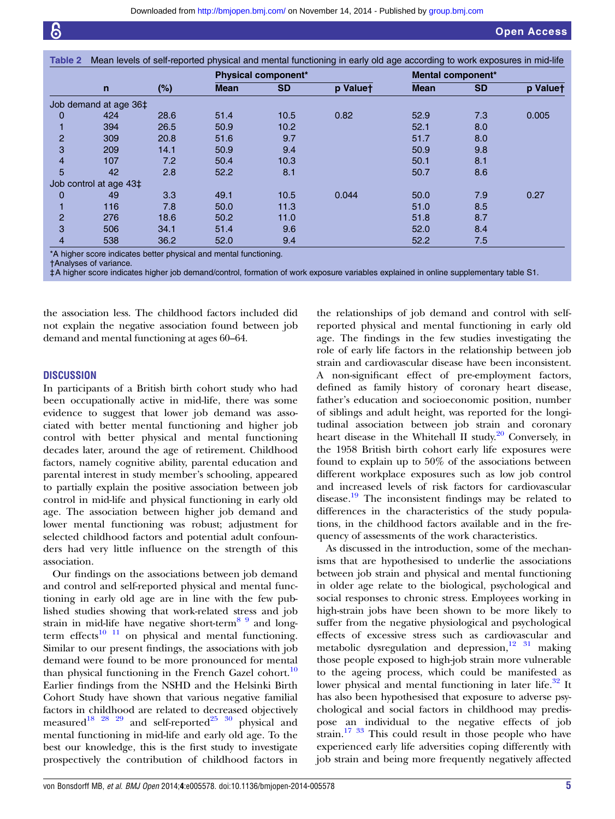<span id="page-4-0"></span>

|                |                        |        |             | <b>Physical component*</b> |          |             | Mental component* |          |
|----------------|------------------------|--------|-------------|----------------------------|----------|-------------|-------------------|----------|
|                | $\mathsf{n}$           | $(\%)$ | <b>Mean</b> | <b>SD</b>                  | p Valuet | <b>Mean</b> | <b>SD</b>         | p Valuet |
|                | Job demand at age 36‡  |        |             |                            |          |             |                   |          |
| 0              | 424                    | 28.6   | 51.4        | 10.5                       | 0.82     | 52.9        | 7.3               | 0.005    |
|                | 394                    | 26.5   | 50.9        | 10.2                       |          | 52.1        | 8.0               |          |
| $\overline{2}$ | 309                    | 20.8   | 51.6        | 9.7                        |          | 51.7        | 8.0               |          |
| 3              | 209                    | 14.1   | 50.9        | 9.4                        |          | 50.9        | 9.8               |          |
| 4              | 107                    | 7.2    | 50.4        | 10.3                       |          | 50.1        | 8.1               |          |
| 5              | 42                     | 2.8    | 52.2        | 8.1                        |          | 50.7        | 8.6               |          |
|                | Job control at age 43‡ |        |             |                            |          |             |                   |          |
| 0              | 49                     | 3.3    | 49.1        | 10.5                       | 0.044    | 50.0        | 7.9               | 0.27     |
|                | 116                    | 7.8    | 50.0        | 11.3                       |          | 51.0        | 8.5               |          |
| $\overline{2}$ | 276                    | 18.6   | 50.2        | 11.0                       |          | 51.8        | 8.7               |          |
| 3              | 506                    | 34.1   | 51.4        | 9.6                        |          | 52.0        | 8.4               |          |
| 4              | 538                    | 36.2   | 52.0        | 9.4                        |          | 52.2        | 7.5               |          |

\*A higher score indicates better physical and mental functioning.

†Analyses of variance.

‡A higher score indicates higher job demand/control, formation of work exposure variables explained in online supplementary table S1.

the association less. The childhood factors included did not explain the negative association found between job demand and mental functioning at ages 60–64.

#### **DISCUSSION**

In participants of a British birth cohort study who had been occupationally active in mid-life, there was some evidence to suggest that lower job demand was associated with better mental functioning and higher job control with better physical and mental functioning decades later, around the age of retirement. Childhood factors, namely cognitive ability, parental education and parental interest in study member's schooling, appeared to partially explain the positive association between job control in mid-life and physical functioning in early old age. The association between higher job demand and lower mental functioning was robust; adjustment for selected childhood factors and potential adult confounders had very little influence on the strength of this association.

Our findings on the associations between job demand and control and self-reported physical and mental functioning in early old age are in line with the few published studies showing that work-related stress and job strain in mid-life have negative short-term<sup>[8 9](#page-6-0)</sup> and longterm effects $10^{-11}$  on physical and mental functioning. Similar to our present findings, the associations with job demand were found to be more pronounced for mental than physical functioning in the French Gazel cohort.<sup>[10](#page-6-0)</sup> Earlier findings from the NSHD and the Helsinki Birth Cohort Study have shown that various negative familial factors in childhood are related to decreased objectively measured<sup>[18 28 29](#page-7-0)</sup> and self-reported<sup>[25 30](#page-7-0)</sup> physical and mental functioning in mid-life and early old age. To the best our knowledge, this is the first study to investigate prospectively the contribution of childhood factors in

the relationships of job demand and control with selfreported physical and mental functioning in early old age. The findings in the few studies investigating the role of early life factors in the relationship between job strain and cardiovascular disease have been inconsistent. A non-significant effect of pre-employment factors, defined as family history of coronary heart disease, father's education and socioeconomic position, number of siblings and adult height, was reported for the longitudinal association between job strain and coronary heart disease in the Whitehall II study.<sup>[20](#page-7-0)</sup> Conversely, in the 1958 British birth cohort early life exposures were found to explain up to 50% of the associations between different workplace exposures such as low job control and increased levels of risk factors for cardiovascular disease.[19](#page-7-0) The inconsistent findings may be related to differences in the characteristics of the study populations, in the childhood factors available and in the frequency of assessments of the work characteristics.

As discussed in the introduction, some of the mechanisms that are hypothesised to underlie the associations between job strain and physical and mental functioning in older age relate to the biological, psychological and social responses to chronic stress. Employees working in high-strain jobs have been shown to be more likely to suffer from the negative physiological and psychological effects of excessive stress such as cardiovascular and metabolic dysregulation and depression, $12\frac{31}{1}$  $12\frac{31}{1}$  making those people exposed to high-job strain more vulnerable to the ageing process, which could be manifested as lower physical and mental functioning in later life.<sup>[32](#page-7-0)</sup> It has also been hypothesised that exposure to adverse psychological and social factors in childhood may predispose an individual to the negative effects of job strain.<sup>[17 33](#page-7-0)</sup> This could result in those people who have experienced early life adversities coping differently with job strain and being more frequently negatively affected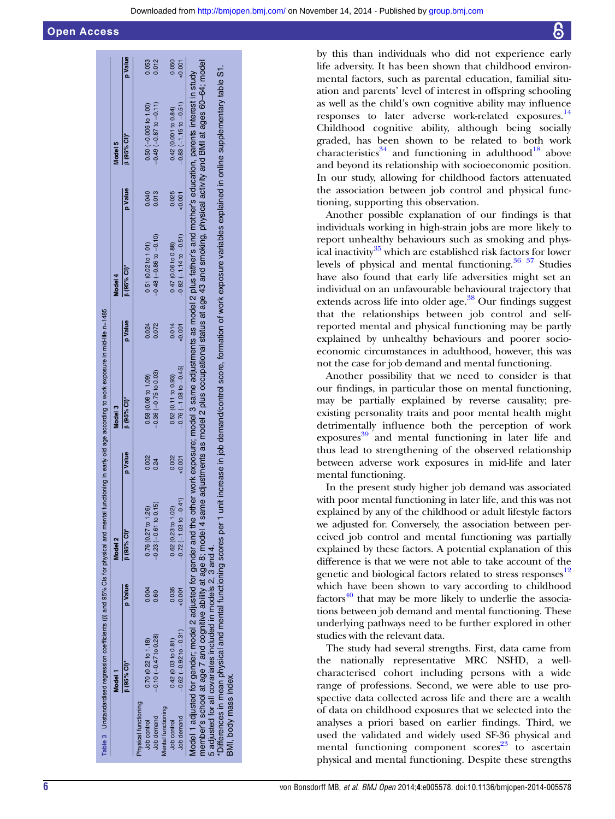<span id="page-5-0"></span>

|                       |                                                                                                                                   |         | Table 3 Unstandardised regression coefficients (B) and 95% Cls for physical and mental functioning in early old age according to work exposure in mid-life n=1485                                                                                                                                                                                                                 |         |                           |         |                              |          |                                                                                                                             |          |
|-----------------------|-----------------------------------------------------------------------------------------------------------------------------------|---------|-----------------------------------------------------------------------------------------------------------------------------------------------------------------------------------------------------------------------------------------------------------------------------------------------------------------------------------------------------------------------------------|---------|---------------------------|---------|------------------------------|----------|-----------------------------------------------------------------------------------------------------------------------------|----------|
|                       | Model 1                                                                                                                           |         | Model 2                                                                                                                                                                                                                                                                                                                                                                           |         | Model 3                   |         | Model 4                      |          | Model <sub>5</sub>                                                                                                          |          |
|                       | $(95%$ CI)*                                                                                                                       | p Value | $\beta$ (95% CI)*                                                                                                                                                                                                                                                                                                                                                                 | p Value | $(95%$ CI)*               | p Value | $\beta$ (95% CI)*            | p Value  | $\beta$ (95% CI)*                                                                                                           | p Value  |
| Physical functioning  |                                                                                                                                   |         |                                                                                                                                                                                                                                                                                                                                                                                   |         |                           |         |                              |          |                                                                                                                             |          |
| Job control           | 0.70(0.22 to 1.18)                                                                                                                | 0.004   | 0.76(0.27 to 1.26)                                                                                                                                                                                                                                                                                                                                                                | 0.002   | 0.58 (0.08 to 1.09)       | 0.024   | $0.51$ (0.02 to 1.01)        | 0.040    | $0.50 (-0.006 to 1.00)$                                                                                                     | 0.053    |
| Job demand            | $-0.10(-0.47$ to 0.28)                                                                                                            | 0.60    | $-0.23(-0.61$ to 0.15)                                                                                                                                                                                                                                                                                                                                                            | 0.24    | $-0.36(-0.75$ to 0.03)    | 0.072   | $-0.48$ $(-0.86$ to $-0.10)$ | 0.013    | $-0.49(-0.87$ to $-0.11$ )                                                                                                  | 0.012    |
| Mental functioning    |                                                                                                                                   |         |                                                                                                                                                                                                                                                                                                                                                                                   |         |                           |         |                              |          |                                                                                                                             |          |
| Job control           | 0.42(0.03 to 0.81)                                                                                                                | 0.035   | $0.62$ (0.23 to 1.02)                                                                                                                                                                                                                                                                                                                                                             | 0.002   | 0.52(0.11 to 0.93)        | 0.014   | 0.47 (0.06 to 0.88)          | 0.025    | 0.42 (0.001 to 0.84)                                                                                                        | 0.050    |
| Job demand            | $-0.62$ $(-0.92$ to $-0.31)$                                                                                                      |         | $-0.72(-1.03$ to $-0.41$ )                                                                                                                                                                                                                                                                                                                                                        | & 0.001 | $-0.76(-1.08$ to $-0.45)$ | 50,001  | $-0.82$ $(-1.14$ to $-0.51)$ | $-0.001$ | $-0.83(-1.15 to -0.51)$                                                                                                     | $-0.001$ |
| BMI, body mass index. | 'Differences in mean physical and mental functioning scores per 1<br>5 adjusted for all covariates included in models 2, 3 and 4. |         | member's school at age 7 and cognitive ability at age 8; model 4 same adjustments as model 2 plus occupational status at age 43 and smoking, physical activity and BMI at ages 60-64; model<br>Model 1 adjusted for gender 2 adjusted for gender and the other work exposure; model 3 same adjustments as model 2 plus father's and mother's education, parents interest in study |         |                           |         |                              |          | unit increase in job demand/control score, formation of work exposure variables explained in online supplementary table S1. |          |

by this than individuals who did not experience early life adversity. It has been shown that childhood environmental factors, such as parental education, familial situation and parents' level of interest in offspring schooling as well as the child's own cognitive ability may influence responses to later adverse work-related exposures.<sup>[14](#page-7-0)</sup> Childhood cognitive ability, although being socially graded, has been shown to be related to both work characteristics<sup>[34](#page-7-0)</sup> and functioning in adulthood<sup>[18](#page-7-0)</sup> above and beyond its relationship with socioeconomic position. In our study, allowing for childhood factors attenuated the association between job control and physical functioning, supporting this observation.

Another possible explanation of our findings is that individuals working in high-strain jobs are more likely to report unhealthy behaviours such as smoking and physical inactivity $35$  which are established risk factors for lower levels of physical and mental functioning. $36 \frac{37}{12}$  Studies have also found that early life adversities might set an individual on an unfavourable behavioural trajectory that extends across life into older age.<sup>[38](#page-7-0)</sup> Our findings suggest that the relationships between job control and selfreported mental and physical functioning may be partly explained by unhealthy behaviours and poorer socioeconomic circumstances in adulthood, however, this was not the case for job demand and mental functioning.

Another possibility that we need to consider is that our findings, in particular those on mental functioning, may be partially explained by reverse causality; preexisting personality traits and poor mental health might detrimentally influence both the perception of work  $exposures<sup>39</sup>$  $exposures<sup>39</sup>$  $exposures<sup>39</sup>$  and mental functioning in later life and thus lead to strengthening of the observed relationship between adverse work exposures in mid-life and later mental functioning.

In the present study higher job demand was associated with poor mental functioning in later life, and this was not explained by any of the childhood or adult lifestyle factors we adjusted for. Conversely, the association between perceived job control and mental functioning was partially explained by these factors. A potential explanation of this difference is that we were not able to take account of the genetic and biological factors related to stress responses<sup>[12](#page-6-0)</sup> which have been shown to vary according to childhood  $factors<sup>40</sup>$  $factors<sup>40</sup>$  $factors<sup>40</sup>$  that may be more likely to underlie the associations between job demand and mental functioning. These underlying pathways need to be further explored in other studies with the relevant data.

The study had several strengths. First, data came from the nationally representative MRC NSHD, a wellcharacterised cohort including persons with a wide range of professions. Second, we were able to use prospective data collected across life and there are a wealth of data on childhood exposures that we selected into the analyses a priori based on earlier findings. Third, we used the validated and widely used SF-36 physical and mental functioning component  $scores<sup>23</sup>$  $scores<sup>23</sup>$  $scores<sup>23</sup>$  to ascertain physical and mental functioning. Despite these strengths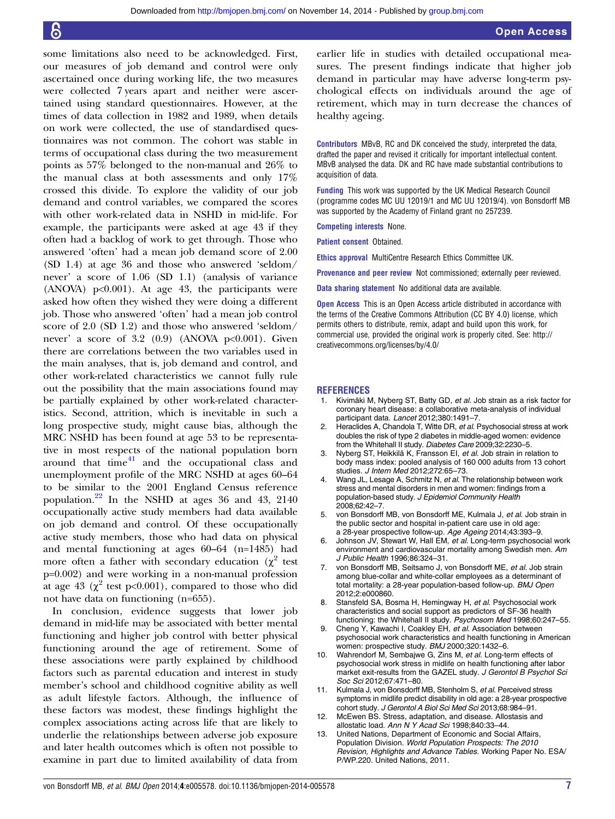<span id="page-6-0"></span>some limitations also need to be acknowledged. First, our measures of job demand and control were only ascertained once during working life, the two measures were collected 7 years apart and neither were ascertained using standard questionnaires. However, at the times of data collection in 1982 and 1989, when details on work were collected, the use of standardised questionnaires was not common. The cohort was stable in terms of occupational class during the two measurement points as 57% belonged to the non-manual and 26% to the manual class at both assessments and only 17% crossed this divide. To explore the validity of our job demand and control variables, we compared the scores with other work-related data in NSHD in mid-life. For example, the participants were asked at age 43 if they often had a backlog of work to get through. Those who answered 'often' had a mean job demand score of 2.00 (SD 1.4) at age 36 and those who answered 'seldom/ never' a score of 1.06 (SD 1.1) (analysis of variance  $(ANOVA)$   $p<0.001$ ). At age 43, the participants were asked how often they wished they were doing a different job. Those who answered 'often' had a mean job control score of 2.0 (SD 1.2) and those who answered 'seldom/ never' a score of 3.2  $(0.9)$  (ANOVA p<0.001). Given there are correlations between the two variables used in the main analyses, that is, job demand and control, and other work-related characteristics we cannot fully rule out the possibility that the main associations found may be partially explained by other work-related characteristics. Second, attrition, which is inevitable in such a long prospective study, might cause bias, although the MRC NSHD has been found at age 53 to be representative in most respects of the national population born around that time $41$  and the occupational class and unemployment profile of the MRC NSHD at ages 60–64 to be similar to the 2001 England Census reference population. $^{22}$  $^{22}$  $^{22}$  In the NSHD at ages 36 and 43, 2140 occupationally active study members had data available on job demand and control. Of these occupationally active study members, those who had data on physical and mental functioning at ages 60–64 (n=1485) had more often a father with secondary education  $(\chi^2$  test p=0.002) and were working in a non-manual profession at age 43 ( $\chi^2$  test p<0.001), compared to those who did not have data on functioning (n=655).

In conclusion, evidence suggests that lower job demand in mid-life may be associated with better mental functioning and higher job control with better physical functioning around the age of retirement. Some of these associations were partly explained by childhood factors such as parental education and interest in study member's school and childhood cognitive ability as well as adult lifestyle factors. Although, the influence of these factors was modest, these findings highlight the complex associations acting across life that are likely to underlie the relationships between adverse job exposure and later health outcomes which is often not possible to examine in part due to limited availability of data from

earlier life in studies with detailed occupational measures. The present findings indicate that higher job demand in particular may have adverse long-term psychological effects on individuals around the age of retirement, which may in turn decrease the chances of healthy ageing.

Contributors MBvB, RC and DK conceived the study, interpreted the data, drafted the paper and revised it critically for important intellectual content. MBvB analysed the data. DK and RC have made substantial contributions to acquisition of data.

Funding This work was supported by the UK Medical Research Council ( programme codes MC UU 12019/1 and MC UU 12019/4). von Bonsdorff MB was supported by the Academy of Finland grant no 257239.

Competing interests None.

Patient consent Obtained.

Ethics approval MultiCentre Research Ethics Committee UK.

Provenance and peer review Not commissioned; externally peer reviewed.

Data sharing statement No additional data are available.

**Open Access** This is an Open Access article distributed in accordance with the terms of the Creative Commons Attribution (CC BY 4.0) license, which permits others to distribute, remix, adapt and build upon this work, for commercial use, provided the original work is properly cited. See: [http://](http://creativecommons.org/licenses/by/4.0/) [creativecommons.org/licenses/by/4.0/](http://creativecommons.org/licenses/by/4.0/)

#### **REFERENCES**

- 1. Kivimäki M, Nyberg ST, Batty GD, et al. Job strain as a risk factor for coronary heart disease: a collaborative meta-analysis of individual participant data. Lancet 2012;380:1491–7.
- 2. Heraclides A, Chandola T, Witte DR, et al. Psychosocial stress at work doubles the risk of type 2 diabetes in middle-aged women: evidence from the Whitehall II study. Diabetes Care 2009;32:2230-5.
- 3. Nyberg ST, Heikkilä K, Fransson EI, et al. Job strain in relation to body mass index: pooled analysis of 160 000 adults from 13 cohort studies. *J Intern Med* 2012;272:65-73.
- Wang JL, Lesage A, Schmitz N, et al. The relationship between work stress and mental disorders in men and women: findings from a population-based study. J Epidemiol Community Health 2008;62:42–7.
- 5. von Bonsdorff MB, von Bonsdorff ME, Kulmala J, et al. Job strain in the public sector and hospital in-patient care use in old age: a 28-year prospective follow-up. Age Ageing 2014;43:393–9.
- 6. Johnson JV, Stewart W, Hall EM, et al. Long-term psychosocial work environment and cardiovascular mortality among Swedish men. Am J Public Health 1996;86:324–31.
- 7. von Bonsdorff MB, Seitsamo J, von Bonsdorff ME, et al. Job strain among blue-collar and white-collar employees as a determinant of total mortality: a 28-year population-based follow-up. BMJ Open 2012;2:e000860.
- 8. Stansfeld SA, Bosma H, Hemingway H, et al. Psychosocial work characteristics and social support as predictors of SF-36 health functioning: the Whitehall II study. Psychosom Med 1998;60:247–55.
- 9. Cheng Y, Kawachi I, Coakley EH, et al. Association between psychosocial work characteristics and health functioning in American women: prospective study. BMJ 2000;320:1432–6.
- 10. Wahrendorf M, Sembajwe G, Zins M, et al. Long-term effects of psychosocial work stress in midlife on health functioning after labor market exit-results from the GAZEL study. J Gerontol B Psychol Sci Soc Sci 2012;67:471–80.
- 11. Kulmala J, von Bonsdorff MB, Stenholm S, et al. Perceived stress symptoms in midlife predict disability in old age: a 28-year prospective cohort study. J Gerontol A Biol Sci Med Sci 2013;68:984–91.
- 12. McEwen BS. Stress, adaptation, and disease. Allostasis and allostatic load. Ann N Y Acad Sci 1998;840:33–44.
- 13. United Nations, Department of Economic and Social Affairs, Population Division. World Population Prospects: The 2010 Revision, Highlights and Advance Tables. Working Paper No. ESA/ P/WP.220. United Nations, 2011.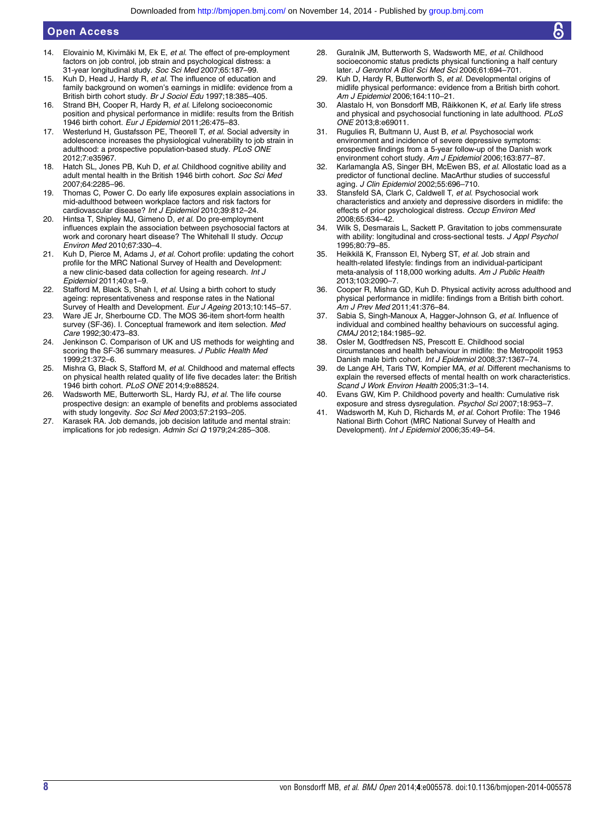# <span id="page-7-0"></span>Open Access

- 14. Elovainio M, Kivimäki M, Ek E, et al. The effect of pre-employment factors on job control, job strain and psychological distress: a 31-year longitudinal study. Soc Sci Med 2007;65:187–99.
- 15. Kuh D, Head J, Hardy R, et al. The influence of education and family background on women's earnings in midlife: evidence from a British birth cohort study. Br J Sociol Edu 1997;18:385-405.
- 16. Strand BH, Cooper R, Hardy R, et al. Lifelong socioeconomic position and physical performance in midlife: results from the British 1946 birth cohort. Eur J Epidemiol 2011;26:475–83.
- 17. Westerlund H, Gustafsson PE, Theorell T, et al. Social adversity in adolescence increases the physiological vulnerability to job strain in adulthood: a prospective population-based study. PLoS ONE 2012;7:e35967.
- 18. Hatch SL, Jones PB, Kuh D, et al. Childhood cognitive ability and adult mental health in the British 1946 birth cohort. Soc Sci Med 2007;64:2285–96.
- 19. Thomas C, Power C. Do early life exposures explain associations in mid-adulthood between workplace factors and risk factors for cardiovascular disease? Int J Epidemiol 2010;39:812-24.
- 20. Hintsa T, Shipley MJ, Gimeno D, et al. Do pre-employment influences explain the association between psychosocial factors at work and coronary heart disease? The Whitehall II study. Occup Environ Med 2010;67:330–4.
- 21. Kuh D, Pierce M, Adams J, et al. Cohort profile: updating the cohort profile for the MRC National Survey of Health and Development: a new clinic-based data collection for ageing research. Int J Epidemiol 2011;40:e1–9.
- 22. Stafford M, Black S, Shah I, et al. Using a birth cohort to study ageing: representativeness and response rates in the National Survey of Health and Development. Eur J Ageing 2013;10:145–57.
- 23. Ware JE Jr, Sherbourne CD. The MOS 36-item short-form health survey (SF-36). I. Conceptual framework and item selection. Med Care 1992;30:473–83.
- 24. Jenkinson C. Comparison of UK and US methods for weighting and scoring the SF-36 summary measures. J Public Health Med 1999;21:372–6.
- 25. Mishra G, Black S, Stafford M, et al. Childhood and maternal effects on physical health related quality of life five decades later: the British 1946 birth cohort. PLoS ONE 2014;9:e88524.
- 26. Wadsworth ME, Butterworth SL, Hardy RJ, et al. The life course prospective design: an example of benefits and problems associated with study longevity. Soc Sci Med 2003;57:2193–205.
- 27. Karasek RA. Job demands, job decision latitude and mental strain: implications for job redesign. Admin Sci Q 1979;24:285–308.
- 28. Guralnik JM, Butterworth S, Wadsworth ME, et al. Childhood socioeconomic status predicts physical functioning a half century later. J Gerontol A Biol Sci Med Sci 2006;61:694–701.
- 29. Kuh D, Hardy R, Butterworth S, et al. Developmental origins of midlife physical performance: evidence from a British birth cohort. Am J Epidemiol 2006;164:110–21.
- 30. Alastalo H, von Bonsdorff MB, Räikkonen K, et al. Early life stress and physical and psychosocial functioning in late adulthood. PLoS ONE 2013;8:e69011.
- 31. Rugulies R, Bultmann U, Aust B, et al. Psychosocial work environment and incidence of severe depressive symptoms: prospective findings from a 5-year follow-up of the Danish work environment cohort study. Am J Epidemiol 2006;163:877-87.
- Karlamangla AS, Singer BH, McEwen BS, et al. Allostatic load as a predictor of functional decline. MacArthur studies of successful aging. J Clin Epidemiol 2002;55:696–710.
- 33. Stansfeld SA, Clark C, Caldwell T, et al. Psychosocial work characteristics and anxiety and depressive disorders in midlife: the effects of prior psychological distress. Occup Environ Med 2008;65:634–42.
- 34. Wilk S, Desmarais L, Sackett P. Gravitation to jobs commensurate with ability: longitudinal and cross-sectional tests. J Appl Psychol 1995;80:79–85.
- 35. Heikkilä K, Fransson EI, Nyberg ST, et al. Job strain and health-related lifestyle: findings from an individual-participant meta-analysis of 118,000 working adults. Am J Public Health 2013;103:2090–7.
- 36. Cooper R, Mishra GD, Kuh D. Physical activity across adulthood and physical performance in midlife: findings from a British birth cohort. Am J Prev Med 2011;41:376–84.
- 37. Sabia S, Singh-Manoux A, Hagger-Johnson G, et al. Influence of individual and combined healthy behaviours on successful aging. CMAJ 2012;184:1985–92.
- 38. Osler M, Godtfredsen NS, Prescott E. Childhood social circumstances and health behaviour in midlife: the Metropolit 1953 Danish male birth cohort. Int J Epidemiol 2008;37:1367-74.
- de Lange AH, Taris TW, Kompier MA, et al. Different mechanisms to explain the reversed effects of mental health on work characteristics. Scand J Work Environ Health 2005;31:3–14.
- 40. Evans GW, Kim P. Childhood poverty and health: Cumulative risk exposure and stress dysregulation. Psychol Sci 2007;18:953-7
- 41. Wadsworth M, Kuh D, Richards M, et al. Cohort Profile: The 1946 National Birth Cohort (MRC National Survey of Health and Development). Int J Epidemiol 2006;35:49–54.